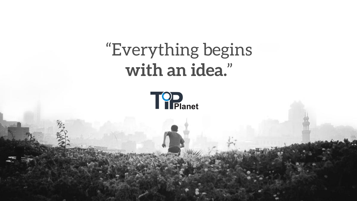# "Everything begins **with an idea.**"



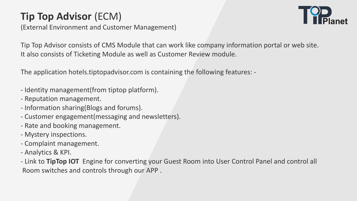# **Tip Top Advisor** (ECM)

Tip Top Advisor consists of CMS Module that can work like company information portal or web site. It also consists of Ticketing Module as well as Customer Review module.

(External Environment and Customer Management)

The application hotels.tiptopadvisor.com is containing the following features: -

- Identity management(from tiptop platform).
- Reputation management.
- Information sharing(Blogs and forums).
- Customer engagement(messaging and newsletters).
- Rate and booking management.
- Mystery inspections.
- Complaint management.
- Analytics & KPI.
- Room switches and controls through our APP .



- Link to **TipTop IOT** Engine for converting your Guest Room into User Control Panel and control all

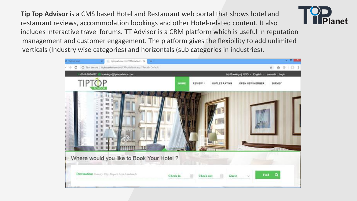**Tip Top Advisor** is a CMS based Hotel and Restaurant web portal that shows hotel and restaurant reviews, accommodation bookings and other Hotel-related content. It also includes interactive travel forums. TT Advisor is a CRM platform which is useful in reputation management and customer engagement. The platform gives the flexibility to add unlimited verticals (Industry wise categories) and horizontals (sub categories in industries).



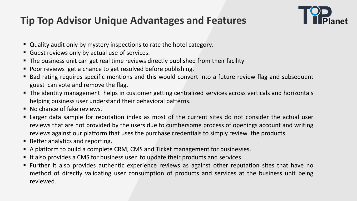## **Tip Top Advisor Unique Advantages and Features**

■ Larger data sample for reputation index as most of the current sites do not consider the actual user reviews that are not provided by the users due to cumbersome process of openings account and writing



- Quality audit only by mystery inspections to rate the hotel category.
- Guest reviews only by actual use of services.
- **The business unit can get real time reviews directly published from their facility**
- **Poor reviews get a chance to get resolved before publishing.**
- Bad rating requires specific mentions and this would convert into a future review flag and subsequent guest can vote and remove the flag.
- helping business user understand their behavioral patterns.
- **No chance of fake reviews.**
- reviews against our platform that uses the purchase credentials to simply review the products.
- Better analytics and reporting.
- A platform to build a complete CRM, CMS and Ticket management for businesses.
- It also provides a CMS for business user to update their products and services
- **Further it also provides authentic experience reviews as against other reputation sites that have no** method of directly validating user consumption of products and services at the business unit being reviewed.



**The identity management helps in customer getting centralized services across verticals and horizontals**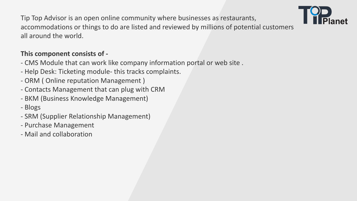Tip Top Advisor is an open online community where businesses as restaurants, accommodations or things to do are listed and reviewed by millions of potential customers all around the world.

### **This component consists of -**

- CMS Module that can work like company information portal or web site .
- Help Desk: Ticketing module- this tracks complaints.
- ORM ( Online reputation Management )
- Contacts Management that can plug with CRM
- BKM (Business Knowledge Management)
- Blogs
- SRM (Supplier Relationship Management)
- Purchase Management
- Mail and collaboration

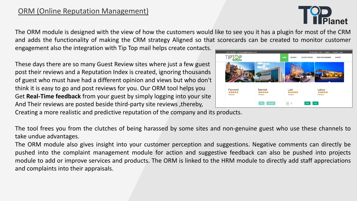### ORM (Online Reputation Management)

The ORM module is designed with the view of how the customers would like to see you it has a plugin for most of the CRM and adds the functionality of making the CRM strategy Aligned so that scorecards can be created to monitor customer engagement also the integration with Tip Top mail helps create contacts.

These days there are so many Guest Review sites where just a few guest post their reviews and a Reputation Index is created, ignoring thousands of guest who must have had a different opinion and views but who don't think it is easy to go and post reviews for you. Our ORM tool helps you Fairmont Get **Real-Time feedback** from your guest by simply logging into your site And Their reviews are posted beside third-party site reviews ,thereby, Creating a more realistic and predictive reputation of the company and its products.

The tool frees you from the clutches of being harassed by some sites and non-genuine guest who use these channels to take undue advantages.

The ORM module also gives insight into your customer perception and suggestions. Negative comments can directly be pushed into the complaint management module for action and suggestive feedback can also be pushed into projects module to add or improve services and products. The ORM is linked to the HRM module to directly add staff appreciations and complaints into their appraisals.





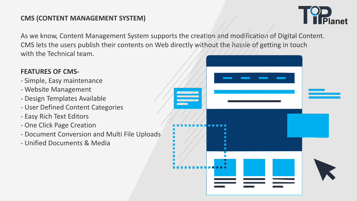### **CMS (CONTENT MANAGEMENT SYSTEM)**

As we know, Content Management System supports the creation and modification of Digital Content. CMS lets the users publish their contents on Web directly without the hassle of getting in touch with the Technical team.

### **FEATURES OF CMS-**

- Simple, Easy maintenance
- Website Management
- Design Templates Available
- User Defined Content Categories
- Easy Rich Text Editors
- One Click Page Creation
- Document Conversion and Multi File Uploads
- Unified Documents & Media



| $\mathcal{L}$<br>$\sim$ 1.000 $\sim$<br>- 11<br>Z.<br>-1<br>$\sqrt{2}$ |                                                                                                                                                   |                                                                                                                |                                                                                                                |  |
|------------------------------------------------------------------------|---------------------------------------------------------------------------------------------------------------------------------------------------|----------------------------------------------------------------------------------------------------------------|----------------------------------------------------------------------------------------------------------------|--|
|                                                                        | <b>.</b>                                                                                                                                          |                                                                                                                |                                                                                                                |  |
|                                                                        | $\blacksquare$<br>-1                                                                                                                              |                                                                                                                |                                                                                                                |  |
|                                                                        | $\qquad \qquad \blacksquare$                                                                                                                      |                                                                                                                |                                                                                                                |  |
|                                                                        | $\blacksquare$<br>$\mathcal{L}^{\text{max}}_{\text{max}}$ and $\mathcal{L}^{\text{max}}_{\text{max}}$ and $\mathcal{L}^{\text{max}}_{\text{max}}$ | and the state of the state of the state of the state of the state of the state of the state of the state of th | and the state of the state of the state of the state of the state of the state of the state of the state of th |  |
|                                                                        | a sa salawan                                                                                                                                      | <b>Service Service</b>                                                                                         | <u>ta a Ta</u>                                                                                                 |  |

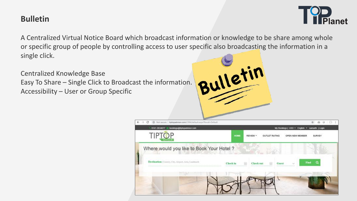### **Bulletin**

A Centralized Virtual Notice Board which broadcast information or knowledge to be share among whole or specific group of people by controlling access to user specific also broadcasting the information in a single click.

Centralized Knowledge Base Easy To Share – Single Click to Broadcast the information. Accessibility – User or Group Specific







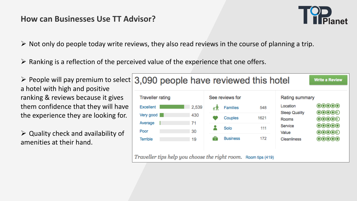### **How can Businesses Use TT Advisor?**

 $\triangleright$  Not only do people today write reviews, they also read reviews in the course of planning a trip.

 $\triangleright$  Ranking is a reflection of the perceived value of the experience that one offers.

 $\triangleright$  Quality check and availability of amenities at their hand.







a hotel with high and positive ranking & reviews because it gives them confidence that they will have the experience they are looking for.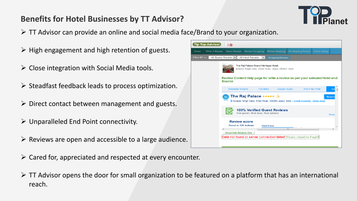### **Benefits for Hotel Businesses by TT Advisor?**

- $\triangleright$  TT Advisor can provide an online and social media face/Brand to your organization.
- $\triangleright$  High engagement and high retention of guests.
- $\triangleright$  Close integration with Social Media tools.
- $\triangleright$  Steadfast feedback leads to process optimization.
- $\triangleright$  Direct contact between management and guests.
- Unparalleled End Point connectivity.
- $\triangleright$  Reviews are open and accessible to a large audience.
- $\triangleright$  Cared for, appreciated and respected at every encounter.
- reach.

|         |      | <b>Tip Top Advisor 】</b>                                                                         |                                             |                         |                                         |                                                     |                                                                                   |                |               |
|---------|------|--------------------------------------------------------------------------------------------------|---------------------------------------------|-------------------------|-----------------------------------------|-----------------------------------------------------|-----------------------------------------------------------------------------------|----------------|---------------|
|         | Home | Write A Review                                                                                   | <b>Guest Review</b>                         | <b>Review Scrapping</b> |                                         | <b>Review Mapping</b>                               | Re-Mapping Review                                                                 | Outlet Rating  |               |
|         |      | Filter BY >>   --All Source Records- $\  \mathbf{v} \ $ --All Hotel Records-- $\  \mathbf{v} \ $ |                                             |                         |                                         | <b>Scrapping Reviews</b>                            |                                                                                   |                |               |
|         |      |                                                                                                  |                                             |                         | The Raj Palace Grand Heritage Hotel     | Jorawer Singh Gate, Amer Road, Jaipur 302002, India |                                                                                   |                |               |
|         |      |                                                                                                  | <b>Source</b>                               |                         |                                         |                                                     | Review Content Help page for write a review as per your selected Hotel an         |                |               |
| on.     |      |                                                                                                  | <b>Available Rooms</b>                      |                         | <b>Facilities</b>                       | <b>House Rules</b>                                  |                                                                                   | The Fine Print | Ba            |
| StS.    |      |                                                                                                  | The Raj Palace ★★★★★ 参                      |                         |                                         |                                                     | 2 Zorawer Singh Gate, Amer Road, 302002 Jaipur, India - Great location - show map |                | <b>Reserv</b> |
|         |      |                                                                                                  |                                             |                         | Real guests. Real stays. Real opinions. | <b>100% Verified Guest Reviews</b>                  |                                                                                   |                | Revie         |
|         |      |                                                                                                  | <b>Review score</b><br>Based on 124 reviews |                         |                                         | Cleanliness                                         |                                                                                   |                |               |
|         |      | ⊣                                                                                                | Show/Hide Reviews Grid                      |                         |                                         |                                                     | ш                                                                                 |                |               |
| dience. |      |                                                                                                  |                                             |                         |                                         |                                                     | Data not found or server connection failed! Please reload the Page!!              |                |               |
|         |      |                                                                                                  |                                             |                         |                                         |                                                     |                                                                                   |                |               |

 $\triangleright$  TT Advisor opens the door for small organization to be featured on a platform that has an international



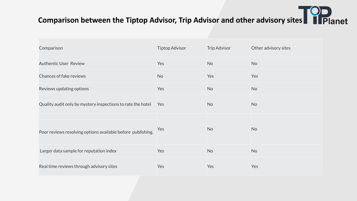| Comparison                                                  | <b>Tiptop Advisor</b> | <b>Trip Advisor</b> | Other advisory sites |
|-------------------------------------------------------------|-----------------------|---------------------|----------------------|
| <b>Authentic User Review</b>                                | Yes                   | <b>No</b>           | <b>No</b>            |
| <b>Chances of fake reviews</b>                              | <b>No</b>             | Yes                 | Yes                  |
| Reviews updating options                                    | Yes                   | <b>No</b>           | <b>No</b>            |
| Quality audit only by mystery inspections to rate the hotel | Yes                   | <b>No</b>           | <b>No</b>            |
| Poor reviews resolving options available before publishing. | Yes                   | <b>No</b>           | <b>No</b>            |
| Larger data sample for reputation index                     | Yes                   | <b>No</b>           | <b>No</b>            |
| Real time reviews through advisory sites                    | Yes                   | Yes                 | Yes                  |



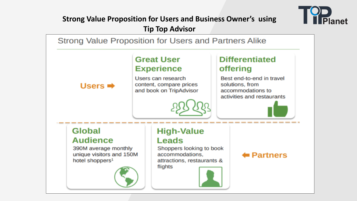



### **Strong Value Proposition for Users and Business Owner's using Tip Top Advisor**



### **Differentiated** offering

Best end-to-end in travel solutions, from accommodations to activities and restaurants

### **High-Value** Leads

Shoppers looking to book accommodations,

attractions, restaurants &





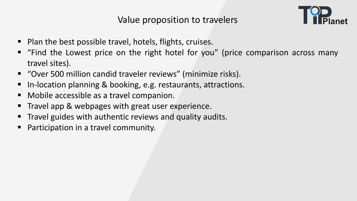- **Plan the best possible travel, hotels, flights, cruises.**
- " "Find the Lowest price on the right hotel for you" (price comparison across many travel sites).
- "Over 500 million candid traveler reviews" (minimize risks). In-location planning & booking, e.g. restaurants, attractions. **• Mobile accessible as a travel companion.**
- 
- 
- Travel app & webpages with great user experience.
- Travel guides with authentic reviews and quality audits.
- **•** Participation in a travel community.

Value proposition to travelers



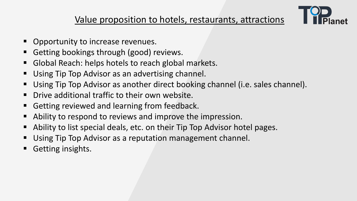### Value proposition to hotels, restaurants, attractions

- **Opportunity to increase revenues.**
- Getting bookings through (good) reviews.
- **Global Reach: helps hotels to reach global markets.**
- **Using Tip Top Advisor as an advertising channel.**
- 
- Using Tip Top Advisor as another direct booking channel (i.e. sales channel). **• Drive additional traffic to their own website.**
- **E** Getting reviewed and learning from feedback.
- **EXTERN Ability to respond to reviews and improve the impression.**
- **Ability to list special deals, etc. on their Tip Top Advisor hotel pages.**
- Using Tip Top Advisor as a reputation management channel.
- **Getting insights.**